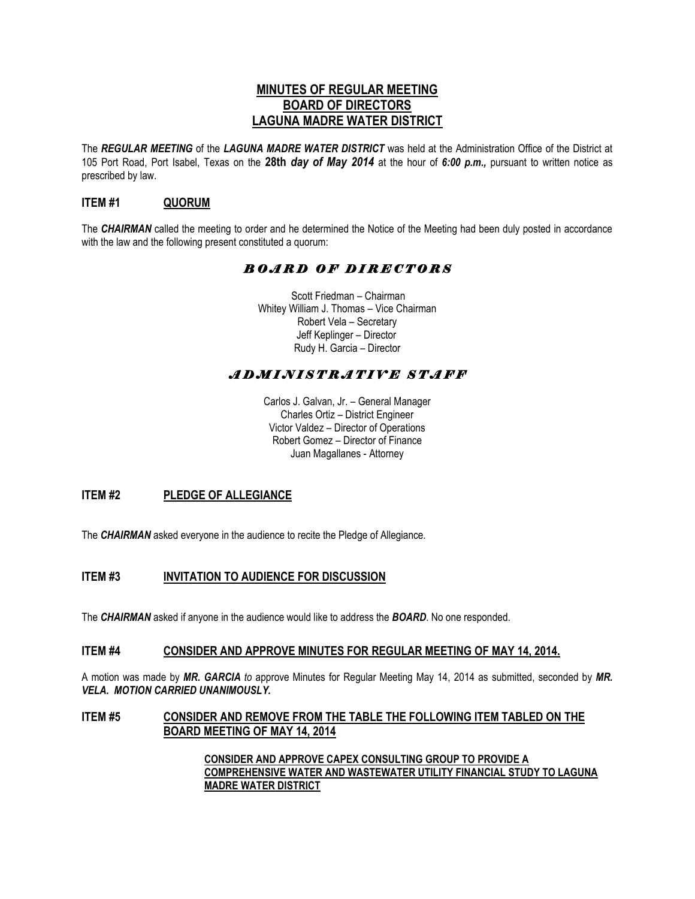# **MINUTES OF REGULAR MEETING BOARD OF DIRECTORS LAGUNA MADRE WATER DISTRICT**

The *REGULAR MEETING* of the *LAGUNA MADRE WATER DISTRICT* was held at the Administration Office of the District at 105 Port Road, Port Isabel, Texas on the **28th** *day of May 2014* at the hour of *6:00 p.m.,* pursuant to written notice as prescribed by law.

## **ITEM #1 QUORUM**

The *CHAIRMAN* called the meeting to order and he determined the Notice of the Meeting had been duly posted in accordance with the law and the following present constituted a quorum:

# *B O A R D O F D I R E C T O R S*

 Scott Friedman – Chairman Whitey William J. Thomas – Vice Chairman Robert Vela – Secretary Jeff Keplinger – Director Rudy H. Garcia – Director

# *A D M I N I S T R A T I V E S T A F F*

Carlos J. Galvan, Jr. – General Manager Charles Ortiz – District Engineer Victor Valdez – Director of Operations Robert Gomez – Director of Finance Juan Magallanes - Attorney

# **ITEM #2 PLEDGE OF ALLEGIANCE**

The **CHAIRMAN** asked everyone in the audience to recite the Pledge of Allegiance.

# **ITEM #3 INVITATION TO AUDIENCE FOR DISCUSSION**

The *CHAIRMAN* asked if anyone in the audience would like to address the *BOARD*. No one responded.

#### **ITEM #4 CONSIDER AND APPROVE MINUTES FOR REGULAR MEETING OF MAY 14, 2014.**

A motion was made by *MR. GARCIA to* approve Minutes for Regular Meeting May 14, 2014 as submitted, seconded by *MR. VELA. MOTION CARRIED UNANIMOUSLY.*

#### **ITEM #5 CONSIDER AND REMOVE FROM THE TABLE THE FOLLOWING ITEM TABLED ON THE BOARD MEETING OF MAY 14, 2014**

**CONSIDER AND APPROVE CAPEX CONSULTING GROUP TO PROVIDE A COMPREHENSIVE WATER AND WASTEWATER UTILITY FINANCIAL STUDY TO LAGUNA MADRE WATER DISTRICT**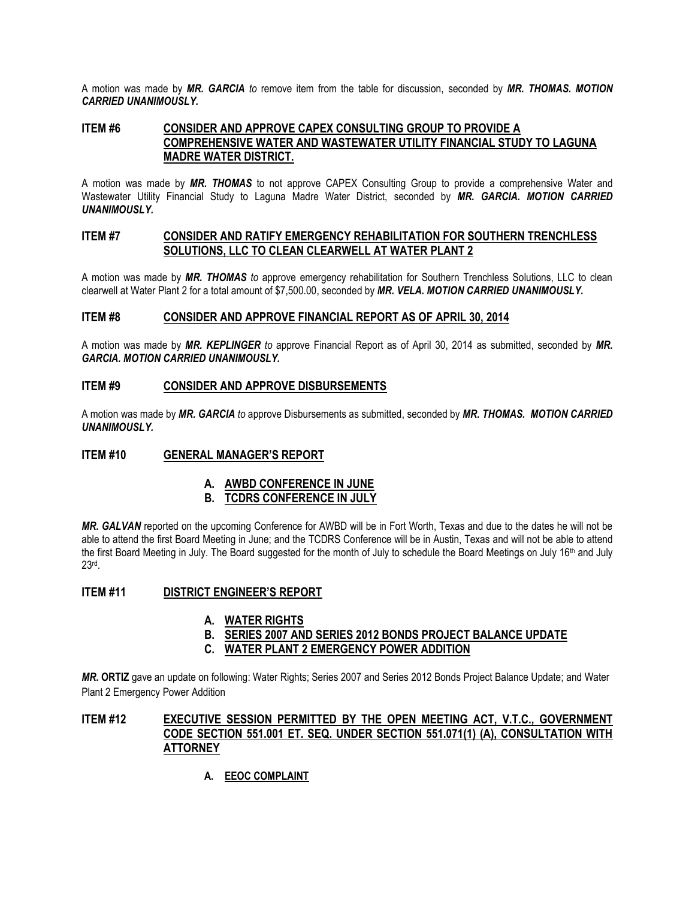A motion was made by *MR. GARCIA to* remove item from the table for discussion, seconded by *MR. THOMAS. MOTION CARRIED UNANIMOUSLY.*

#### **ITEM #6 CONSIDER AND APPROVE CAPEX CONSULTING GROUP TO PROVIDE A COMPREHENSIVE WATER AND WASTEWATER UTILITY FINANCIAL STUDY TO LAGUNA MADRE WATER DISTRICT.**

A motion was made by *MR. THOMAS* to not approve CAPEX Consulting Group to provide a comprehensive Water and Wastewater Utility Financial Study to Laguna Madre Water District, seconded by *MR. GARCIA. MOTION CARRIED UNANIMOUSLY.* 

### **ITEM #7 CONSIDER AND RATIFY EMERGENCY REHABILITATION FOR SOUTHERN TRENCHLESS SOLUTIONS, LLC TO CLEAN CLEARWELL AT WATER PLANT 2**

A motion was made by *MR. THOMAS to* approve emergency rehabilitation for Southern Trenchless Solutions, LLC to clean clearwell at Water Plant 2 for a total amount of \$7,500.00, seconded by *MR. VELA. MOTION CARRIED UNANIMOUSLY.*

#### **ITEM #8 CONSIDER AND APPROVE FINANCIAL REPORT AS OF APRIL 30, 2014**

A motion was made by *MR. KEPLINGER to* approve Financial Report as of April 30, 2014 as submitted, seconded by *MR. GARCIA. MOTION CARRIED UNANIMOUSLY.*

#### **ITEM #9 CONSIDER AND APPROVE DISBURSEMENTS**

A motion was made by *MR. GARCIA to* approve Disbursements as submitted, seconded by *MR. THOMAS. MOTION CARRIED UNANIMOUSLY.*

#### **ITEM #10 GENERAL MANAGER'S REPORT**

### **A. AWBD CONFERENCE IN JUNE**

### **B. TCDRS CONFERENCE IN JULY**

*MR. GALVAN* reported on the upcoming Conference for AWBD will be in Fort Worth, Texas and due to the dates he will not be able to attend the first Board Meeting in June; and the TCDRS Conference will be in Austin, Texas and will not be able to attend the first Board Meeting in July. The Board suggested for the month of July to schedule the Board Meetings on July 16<sup>th</sup> and July 23rd .

#### **ITEM #11 DISTRICT ENGINEER'S REPORT**

#### **A. WATER RIGHTS**

- **B. SERIES 2007 AND SERIES 2012 BONDS PROJECT BALANCE UPDATE**
- **C. WATER PLANT 2 EMERGENCY POWER ADDITION**

*MR.* **ORTIZ** gave an update on following: Water Rights; Series 2007 and Series 2012 Bonds Project Balance Update; and Water Plant 2 Emergency Power Addition

## **ITEM #12 EXECUTIVE SESSION PERMITTED BY THE OPEN MEETING ACT, V.T.C., GOVERNMENT CODE SECTION 551.001 ET. SEQ. UNDER SECTION 551.071(1) (A), CONSULTATION WITH ATTORNEY**

**A. EEOC COMPLAINT**